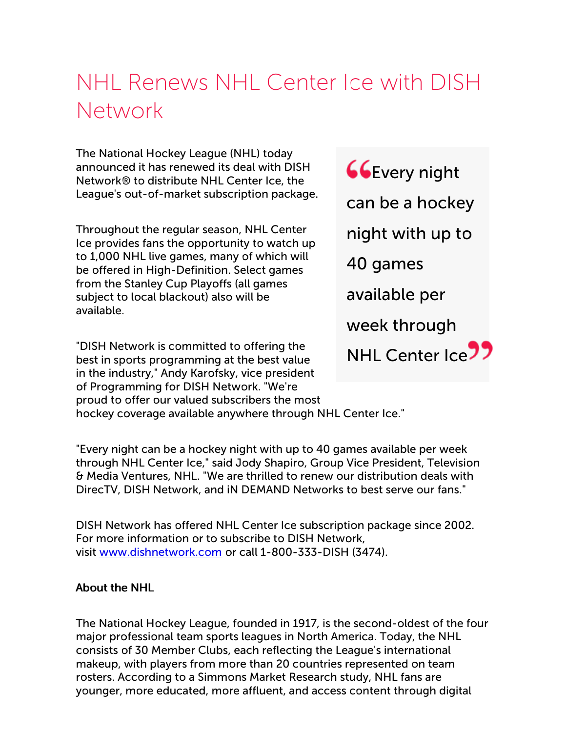## NHL Renews NHL Center Ice with DISH Network

The National Hockey League (NHL) today announced it has renewed its deal with DISH Network® to distribute NHL Center Ice, the League's out-of-market subscription package.

Throughout the regular season, NHL Center Ice provides fans the opportunity to watch up to 1,000 NHL live games, many of which will be offered in High-Definition. Select games from the Stanley Cup Playoffs (all games subject to local blackout) also will be available.

"DISH Network is committed to offering the best in sports programming at the best value in the industry," Andy Karofsky, vice president of Programming for DISH Network. "We're proud to offer our valued subscribers the most hockey coverage available anywhere through NHL Center Ice."

**CG**Every night can be a hockey night with up to 40 games available per week through NHL Center Ice<sup>77</sup>

"Every night can be a hockey night with up to 40 games available per week through NHL Center Ice," said Jody Shapiro, Group Vice President, Television & Media Ventures, NHL. "We are thrilled to renew our distribution deals with DirecTV, DISH Network, and iN DEMAND Networks to best serve our fans."

DISH Network has offered NHL Center Ice subscription package since 2002. For more information or to subscribe to DISH Network, visit [www.dishnetwork.com](http://cts.businesswire.com/ct/CT?id=smartlink&url=http%3A%2F%2Fwww.dishnetwork.com&esheet=50391097&lan=en-US&anchor=www.dishnetwork.com&index=1&md5=fa5e3dcc8bfa51af8186d38f394234f6) or call 1-800-333-DISH (3474).

## About the NHL

The National Hockey League, founded in 1917, is the second-oldest of the four major professional team sports leagues in North America. Today, the NHL consists of 30 Member Clubs, each reflecting the League's international makeup, with players from more than 20 countries represented on team rosters. According to a Simmons Market Research study, NHL fans are younger, more educated, more affluent, and access content through digital